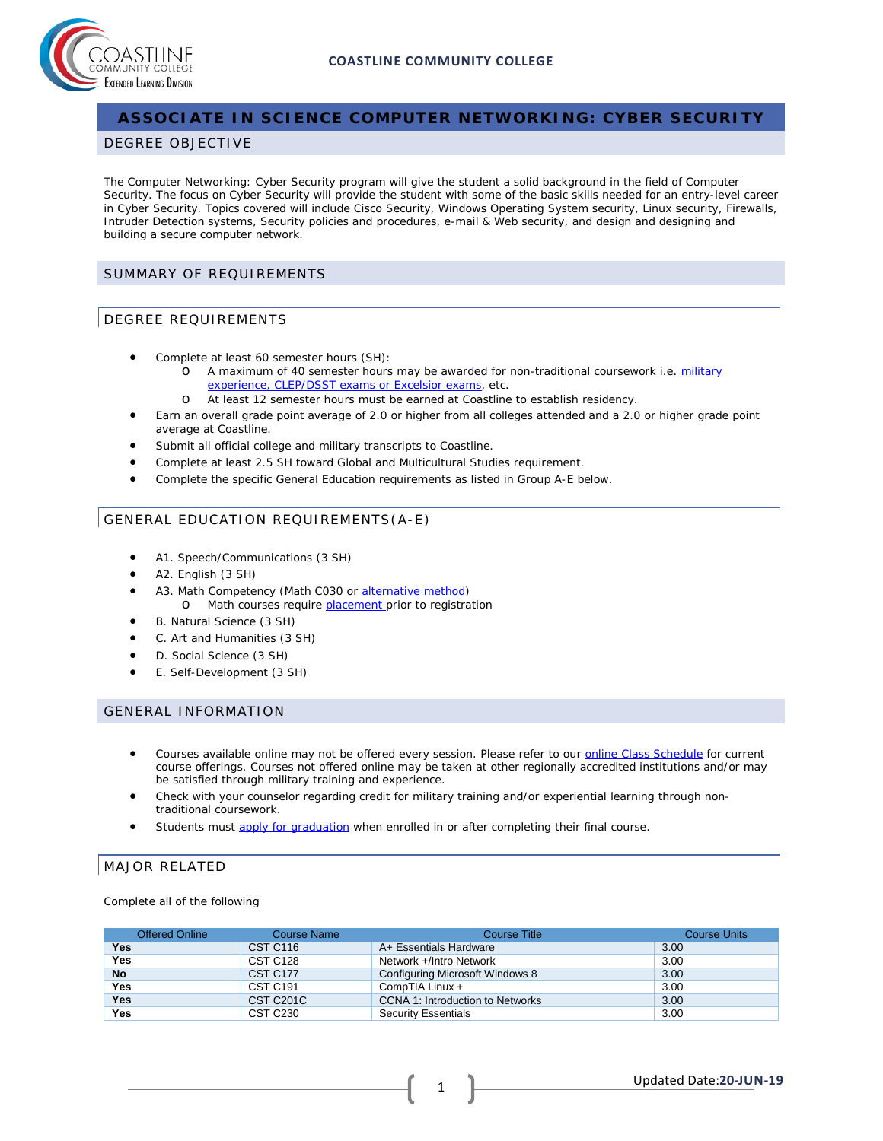



## **ASSOCIATE IN SCIENCE COMPUTER NETWORKING: CYBER SECURITY**

#### DEGREE OBJECTIVE

The Computer Networking: Cyber Security program will give the student a solid background in the field of Computer Security. The focus on Cyber Security will provide the student with some of the basic skills needed for an entry-level career in Cyber Security. Topics covered will include Cisco Security, Windows Operating System security, Linux security, Firewalls, Intruder Detection systems, Security policies and procedures, e-mail & Web security, and design and designing and building a secure computer network.

#### SUMMARY OF REQUIREMENTS

#### DEGREE REQUIREMENTS

- Complete at least 60 semester hours (SH):
	- o A maximum of 40 semester hours may be awarded for non-traditional coursework i.e. [military](http://military.coastline.edu/page.cfm?LinkID=1473) [experience, CLEP/DSST exams or Excelsior exams,](http://military.coastline.edu/page.cfm?LinkID=1473) etc.
	- o At least 12 semester hours must be earned at Coastline to establish residency.
- Earn an overall grade point average of 2.0 or higher from all colleges attended and a 2.0 or higher grade point average at Coastline.
- Submit all official college and military transcripts to Coastline.
- Complete at least 2.5 SH toward Global and Multicultural Studies requirement.
- Complete the specific General Education requirements as listed in Group A-E below.

### GENERAL EDUCATION REQUIREMENTS(A-E)

- A1. Speech/Communications (3 SH)
- A2. English (3 SH)
- A3. Math Competency (Math C030 or [alternative method\)](http://military.coastline.edu/forms/page.cfm?LinkID=1446) o Math courses require **placement** prior to registration
- B. Natural Science (3 SH)
- C. Art and Humanities (3 SH)
- D. Social Science (3 SH)
- E. Self-Development (3 SH)

#### GENERAL INFORMATION

- Courses available online may not be offered every session. Please refer to our [online Class](http://military.coastline.edu/schedule/page.cfm?LinkID=1706) Schedule for current course offerings. Courses not offered online may be taken at other regionally accredited institutions and/or may be satisfied through military training and experience.
- Check with your counselor regarding credit for military training and/or experiential learning through nontraditional coursework.
- Students must [apply for graduation](http://military.coastline.edu/active-duty/page.cfm?LinkID=1437) when enrolled in or after completing their final course.

#### MAJOR RELATED

Complete all of the following

| <b>Offered Online</b> | Course Name          | Course Title                            | <b>Course Units</b> |
|-----------------------|----------------------|-----------------------------------------|---------------------|
| Yes                   | CST C <sub>116</sub> | A+ Essentials Hardware                  | 3.00                |
| <b>Yes</b>            | CST C <sub>128</sub> | Network +/Intro Network                 | 3.00                |
| <b>No</b>             | <b>CST C177</b>      | Configuring Microsoft Windows 8         | 3.00                |
| <b>Yes</b>            | <b>CST C191</b>      | CompTIA Linux +                         | 3.00                |
| <b>Yes</b>            | <b>CST C201C</b>     | <b>CCNA 1: Introduction to Networks</b> | 3.00                |
| <b>Yes</b>            | <b>CST C230</b>      | <b>Security Essentials</b>              | 3.00                |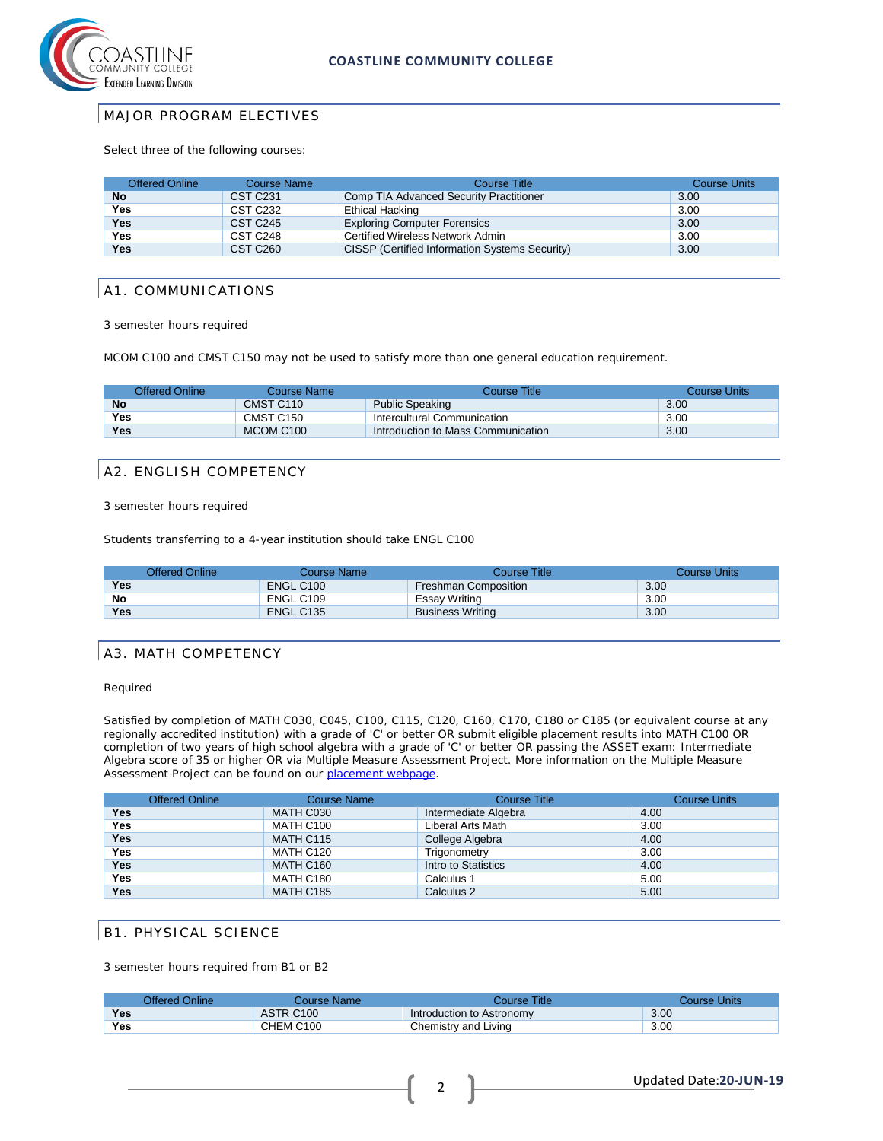

### MAJOR PROGRAM ELECTIVES

Select three of the following courses:

| <b>Offered Online</b> | Course Name          | Course Title                                   | <b>Course Units</b> |
|-----------------------|----------------------|------------------------------------------------|---------------------|
| <b>No</b>             | <b>CST C231</b>      | Comp TIA Advanced Security Practitioner        | 3.00                |
| <b>Yes</b>            | <b>CST C232</b>      | Ethical Hacking                                | 3.00                |
| Yes                   | CST C245             | <b>Exploring Computer Forensics</b>            | 3.00                |
| <b>Yes</b>            | CST C248             | Certified Wireless Network Admin               | 3.00                |
| <b>Yes</b>            | CST C <sub>260</sub> | CISSP (Certified Information Systems Security) | 3.00                |

#### A1. COMMUNICATIONS

3 semester hours required

MCOM C100 and CMST C150 may not be used to satisfy more than one general education requirement.

| Offered Online | Course Name | <b>Course Title</b>                | <b>Course Units</b> |
|----------------|-------------|------------------------------------|---------------------|
| No             | CMST C110   | <b>Public Speaking</b>             | 3.00                |
| Yes            | CMST C150   | Intercultural Communication        | 3.00                |
| Yes            | MCOM C100   | Introduction to Mass Communication | 3.00                |

### A2. ENGLISH COMPETENCY

3 semester hours required

Students transferring to a 4-year institution should take ENGL C100

|            | <b>Offered Online</b> | Course Name | Course Title                | Course Units |
|------------|-----------------------|-------------|-----------------------------|--------------|
| Yes        |                       | ENGL C100   | <b>Freshman Composition</b> | 3.00         |
| No         |                       | ENGL C109   | Essay Writing               | 3.00         |
| <b>Yes</b> |                       | ENGL C135   | <b>Business Writing</b>     | 3.00         |

### A3. MATH COMPETENCY

Required

Satisfied by completion of MATH C030, C045, C100, C115, C120, C160, C170, C180 or C185 (or equivalent course at any regionally accredited institution) with a grade of 'C' or better OR submit eligible placement results into MATH C100 OR completion of two years of high school algebra with a grade of 'C' or better OR passing the ASSET exam: Intermediate Algebra score of 35 or higher OR via Multiple Measure Assessment Project. More information on the Multiple Measure Assessment Project can be found on our [placement webpage.](http://military.coastline.edu/active-duty/page.cfm?LinkID=1446)

|            | Offered Online | <b>Course Name</b> | <b>Course Title</b>  | <b>Course Units</b> |
|------------|----------------|--------------------|----------------------|---------------------|
| <b>Yes</b> |                | MATH C030          | Intermediate Algebra | 4.00                |
| <b>Yes</b> |                | MATH C100          | Liberal Arts Math    | 3.00                |
| Yes        |                | MATH C115          | College Algebra      | 4.00                |
| Yes        |                | MATH C120          | Trigonometry         | 3.00                |
| <b>Yes</b> |                | <b>MATH C160</b>   | Intro to Statistics  | 4.00                |
| <b>Yes</b> |                | MATH C180          | Calculus 1           | 5.00                |
| <b>Yes</b> |                | <b>MATH C185</b>   | Calculus 2           | 5.00                |

### B1. PHYSICAL SCIENCE

3 semester hours required from B1 or B2

|            | Offered Online | Course Name | Course Title <sup>-</sup> | Course Units |
|------------|----------------|-------------|---------------------------|--------------|
| <b>Yes</b> |                | ASTR C100   | Introduction to Astronomy | 3.00         |
| Yes        |                | CHEM C100   | Chemistry and Living      | 3.00         |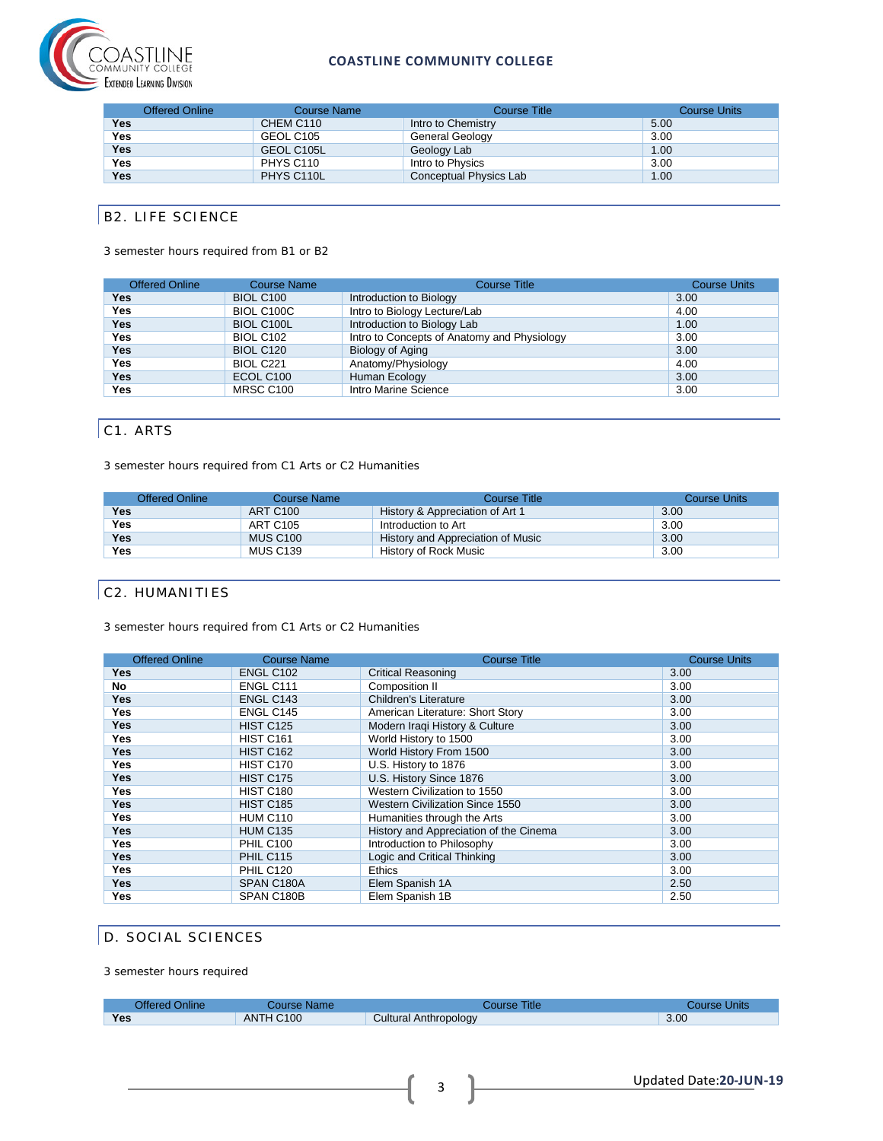

#### **COASTLINE COMMUNITY COLLEGE**

|            | <b>Offered Online</b> | <b>Course Name</b>    | Course Title           | <b>Course Units</b> |
|------------|-----------------------|-----------------------|------------------------|---------------------|
| Yes        |                       | CHEM C <sub>110</sub> | Intro to Chemistry     | 5.00                |
| <b>Yes</b> |                       | GEOL C105             | General Geology        | 3.00                |
| <b>Yes</b> |                       | GEOL C105L            | Geology Lab            | 1.00                |
| <b>Yes</b> |                       | PHYS C110             | Intro to Physics       | 3.00                |
| <b>Yes</b> |                       | PHYS C110L            | Conceptual Physics Lab | 1.00                |

# B2. LIFE SCIENCE

#### 3 semester hours required from B1 or B2

| Course Name      | <b>Course Title</b>                         | <b>Course Units</b>                                                                |
|------------------|---------------------------------------------|------------------------------------------------------------------------------------|
| <b>BIOL C100</b> |                                             | 3.00                                                                               |
| BIOL C100C       | Intro to Biology Lecture/Lab                | 4.00                                                                               |
| BIOL C100L       | Introduction to Biology Lab                 | 1.00                                                                               |
| <b>BIOL C102</b> | Intro to Concepts of Anatomy and Physiology | 3.00                                                                               |
| <b>BIOL C120</b> |                                             | 3.00                                                                               |
| <b>BIOL C221</b> |                                             | 4.00                                                                               |
| ECOL C100        |                                             | 3.00                                                                               |
| MRSC C100        | Intro Marine Science                        | 3.00                                                                               |
|                  |                                             | Introduction to Biology<br>Biology of Aging<br>Anatomy/Physiology<br>Human Ecology |

# C1. ARTS

3 semester hours required from C1 Arts or C2 Humanities

| <b>Offered Online</b> | Course Name     | Course Title                      | <b>Course Units</b> |
|-----------------------|-----------------|-----------------------------------|---------------------|
| Yes                   | <b>ART C100</b> | History & Appreciation of Art 1   | 3.00                |
| Yes                   | <b>ART C105</b> | Introduction to Art               | 3.00                |
| <b>Yes</b>            | <b>MUS C100</b> | History and Appreciation of Music | 3.00                |
| Yes                   | <b>MUS C139</b> | History of Rock Music             | 3.00                |

### C2. HUMANITIES

3 semester hours required from C1 Arts or C2 Humanities

| <b>Offered Online</b> | <b>Course Name</b> | <b>Course Title</b>                    | <b>Course Units</b> |
|-----------------------|--------------------|----------------------------------------|---------------------|
| Yes                   | ENGL C102          | <b>Critical Reasoning</b>              | 3.00                |
| No                    | ENGL C111          | Composition II                         | 3.00                |
| <b>Yes</b>            | ENGL C143          | <b>Children's Literature</b>           | 3.00                |
| Yes                   | ENGL C145          | American Literature: Short Story       | 3.00                |
| Yes                   | <b>HIST C125</b>   | Modern Iraqi History & Culture         | 3.00                |
| Yes                   | <b>HIST C161</b>   | World History to 1500                  | 3.00                |
| <b>Yes</b>            | <b>HIST C162</b>   | World History From 1500                | 3.00                |
| Yes                   | HIST C170          | U.S. History to 1876                   | 3.00                |
| <b>Yes</b>            | <b>HIST C175</b>   | U.S. History Since 1876                | 3.00                |
| Yes                   | <b>HIST C180</b>   | Western Civilization to 1550           | 3.00                |
| Yes                   | <b>HIST C185</b>   | <b>Western Civilization Since 1550</b> | 3.00                |
| Yes                   | <b>HUM C110</b>    | Humanities through the Arts            | 3.00                |
| <b>Yes</b>            | <b>HUM C135</b>    | History and Appreciation of the Cinema | 3.00                |
| Yes                   | <b>PHIL C100</b>   | Introduction to Philosophy             | 3.00                |
| <b>Yes</b>            | <b>PHIL C115</b>   | Logic and Critical Thinking            | 3.00                |
| Yes                   | <b>PHIL C120</b>   | <b>Ethics</b>                          | 3.00                |
| <b>Yes</b>            | SPAN C180A         | Elem Spanish 1A                        | 2.50                |
| Yes                   | SPAN C180B         | Elem Spanish 1B                        | 2.50                |

### D. SOCIAL SCIENCES

3 semester hours required

| Offered Online | Course Name | Course Title          | Course Units |
|----------------|-------------|-----------------------|--------------|
| Yes            | ANTH C100   | Cultural Anthropology | 3.00         |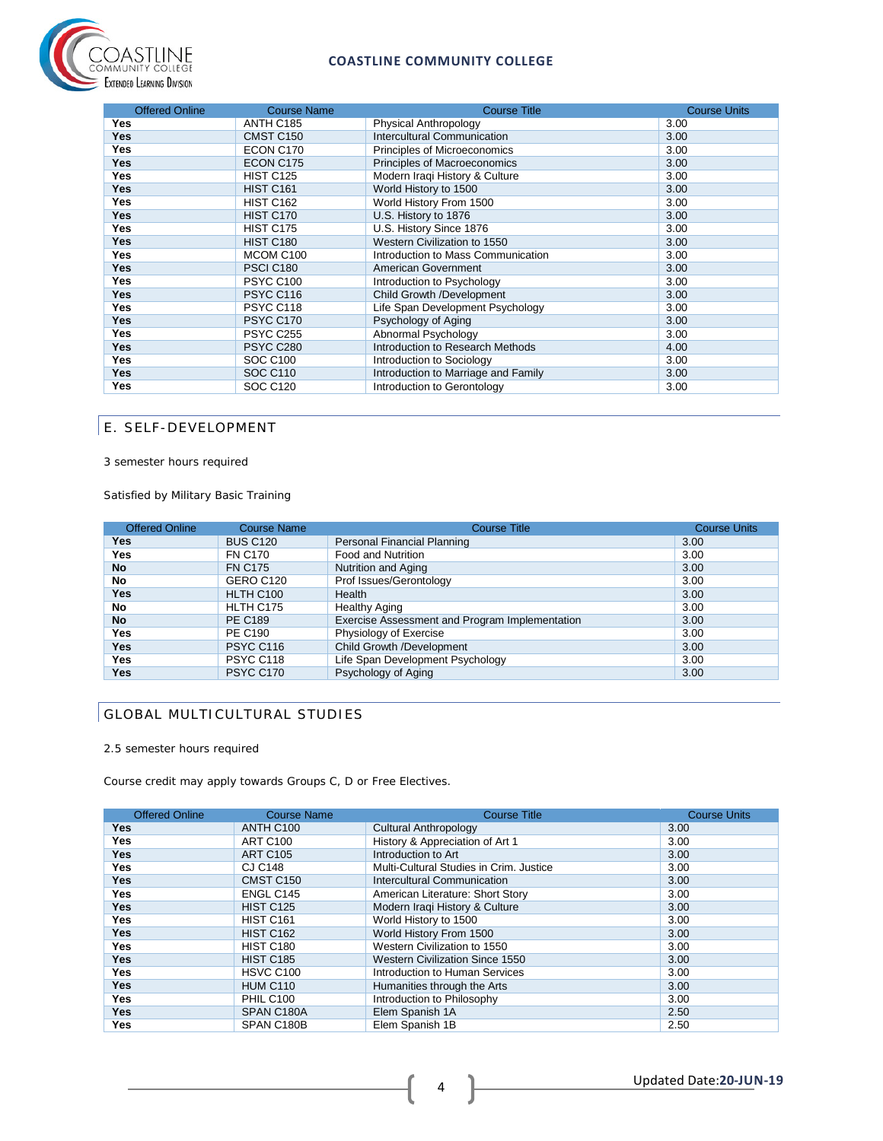



| <b>Offered Online</b> | <b>Course Name</b> | <b>Course Title</b>                 | <b>Course Units</b> |
|-----------------------|--------------------|-------------------------------------|---------------------|
| Yes                   | ANTH C185          | Physical Anthropology               | 3.00                |
| <b>Yes</b>            | CMST C150          | <b>Intercultural Communication</b>  | 3.00                |
| Yes                   | ECON C170          | Principles of Microeconomics        | 3.00                |
| <b>Yes</b>            | ECON C175          | Principles of Macroeconomics        | 3.00                |
| <b>Yes</b>            | <b>HIST C125</b>   | Modern Iraqi History & Culture      | 3.00                |
| <b>Yes</b>            | <b>HIST C161</b>   | World History to 1500               | 3.00                |
| Yes                   | <b>HIST C162</b>   | World History From 1500             | 3.00                |
| <b>Yes</b>            | <b>HIST C170</b>   | U.S. History to 1876                | 3.00                |
| <b>Yes</b>            | <b>HIST C175</b>   | U.S. History Since 1876             | 3.00                |
| <b>Yes</b>            | <b>HIST C180</b>   | Western Civilization to 1550        | 3.00                |
| <b>Yes</b>            | MCOM C100          | Introduction to Mass Communication  | 3.00                |
| Yes                   | <b>PSCI C180</b>   | American Government                 | 3.00                |
| Yes                   | <b>PSYC C100</b>   | Introduction to Psychology          | 3.00                |
| <b>Yes</b>            | <b>PSYC C116</b>   | Child Growth /Development           | 3.00                |
| <b>Yes</b>            | PSYC C118          | Life Span Development Psychology    | 3.00                |
| <b>Yes</b>            | <b>PSYC C170</b>   | Psychology of Aging                 | 3.00                |
| <b>Yes</b>            | <b>PSYC C255</b>   | Abnormal Psychology                 | 3.00                |
| Yes                   | <b>PSYC C280</b>   | Introduction to Research Methods    | 4.00                |
| Yes                   | <b>SOC C100</b>    | Introduction to Sociology           | 3.00                |
| <b>Yes</b>            | <b>SOC C110</b>    | Introduction to Marriage and Family | 3.00                |
| <b>Yes</b>            | <b>SOC C120</b>    | Introduction to Gerontology         | 3.00                |

## E. SELF-DEVELOPMENT

3 semester hours required

Satisfied by Military Basic Training

| <b>Offered Online</b> | <b>Course Name</b> | <b>Course Title</b>                            | <b>Course Units</b> |
|-----------------------|--------------------|------------------------------------------------|---------------------|
| <b>Yes</b>            | <b>BUS C120</b>    | Personal Financial Planning                    | 3.00                |
| <b>Yes</b>            | <b>FN C170</b>     | Food and Nutrition                             | 3.00                |
| <b>No</b>             | <b>FN C175</b>     | Nutrition and Aging                            | 3.00                |
| No                    | GERO C120          | Prof Issues/Gerontology                        | 3.00                |
| <b>Yes</b>            | HLTH C100          | Health                                         | 3.00                |
| No                    | HLTH C175          | <b>Healthy Aging</b>                           | 3.00                |
| <b>No</b>             | <b>PE C189</b>     | Exercise Assessment and Program Implementation | 3.00                |
| Yes                   | <b>PE C190</b>     | Physiology of Exercise                         | 3.00                |
| Yes                   | <b>PSYC C116</b>   | Child Growth /Development                      | 3.00                |
| Yes                   | PSYC C118          | Life Span Development Psychology               | 3.00                |
| Yes                   | <b>PSYC C170</b>   | Psychology of Aging                            | 3.00                |

# GLOBAL MULTICULTURAL STUDIES

#### 2.5 semester hours required

Course credit may apply towards Groups C, D or Free Electives.

| <b>Offered Online</b> | <b>Course Name</b>    | <b>Course Title</b>                     | <b>Course Units</b> |
|-----------------------|-----------------------|-----------------------------------------|---------------------|
| <b>Yes</b>            | ANTH C100             | Cultural Anthropology                   | 3.00                |
| Yes                   | <b>ART C100</b>       | History & Appreciation of Art 1         | 3.00                |
| <b>Yes</b>            | <b>ART C105</b>       | Introduction to Art                     | 3.00                |
| Yes                   | <b>CJ C148</b>        | Multi-Cultural Studies in Crim. Justice | 3.00                |
| <b>Yes</b>            | CMST C150             | Intercultural Communication             | 3.00                |
| <b>Yes</b>            | ENGL C145             | American Literature: Short Story        | 3.00                |
| <b>Yes</b>            | <b>HIST C125</b>      | Modern Iraqi History & Culture          | 3.00                |
| Yes                   | <b>HIST C161</b>      | World History to 1500                   | 3.00                |
| <b>Yes</b>            | <b>HIST C162</b>      | World History From 1500                 | 3.00                |
| <b>Yes</b>            | <b>HIST C180</b>      | Western Civilization to 1550            | 3.00                |
| <b>Yes</b>            | <b>HIST C185</b>      | Western Civilization Since 1550         | 3.00                |
| Yes                   | HSVC C <sub>100</sub> | Introduction to Human Services          | 3.00                |
| <b>Yes</b>            | <b>HUM C110</b>       | Humanities through the Arts             | 3.00                |
| <b>Yes</b>            | <b>PHIL C100</b>      | Introduction to Philosophy              | 3.00                |
| <b>Yes</b>            | SPAN C180A            | Elem Spanish 1A                         | 2.50                |
| Yes                   | SPAN C180B            | Elem Spanish 1B                         | 2.50                |